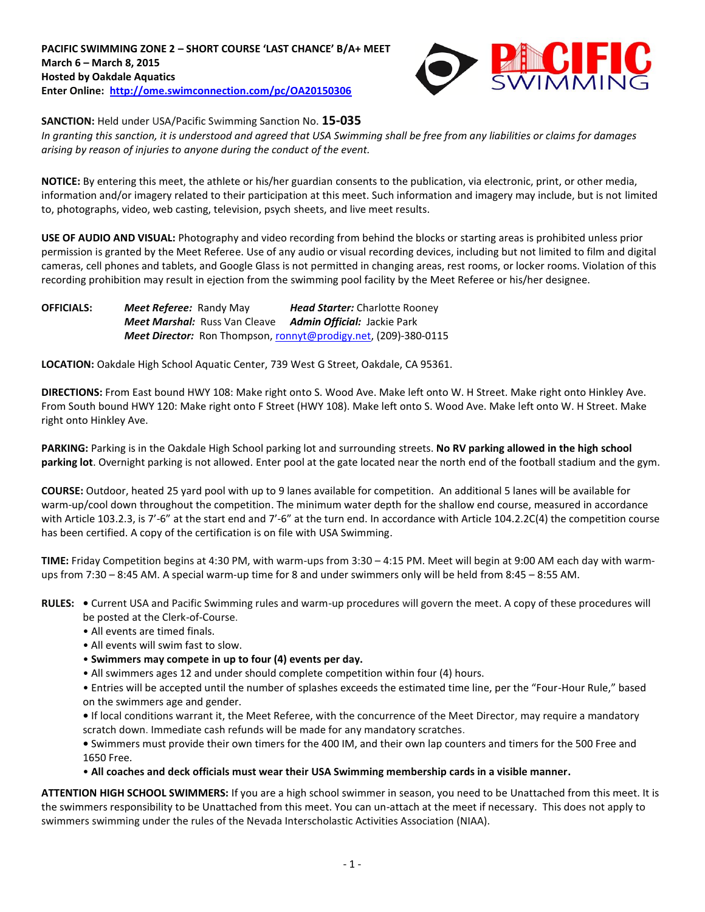

**SANCTION:** Held under USA/Pacific Swimming Sanction No. **15-035**

*In granting this sanction, it is understood and agreed that USA Swimming shall be free from any liabilities or claims for damages arising by reason of injuries to anyone during the conduct of the event.*

**NOTICE:** By entering this meet, the athlete or his/her guardian consents to the publication, via electronic, print, or other media, information and/or imagery related to their participation at this meet. Such information and imagery may include, but is not limited to, photographs, video, web casting, television, psych sheets, and live meet results.

**USE OF AUDIO AND VISUAL:** Photography and video recording from behind the blocks or starting areas is prohibited unless prior permission is granted by the Meet Referee. Use of any audio or visual recording devices, including but not limited to film and digital cameras, cell phones and tablets, and Google Glass is not permitted in changing areas, rest rooms, or locker rooms. Violation of this recording prohibition may result in ejection from the swimming pool facility by the Meet Referee or his/her designee.

**OFFICIALS:** *Meet Referee:* Randy May *Head Starter:* Charlotte Rooney *Meet Marshal:* Russ Van Cleave *Admin Official:* Jackie Park *Meet Director:* Ron Thompson, [ronnyt@prodigy.net,](mailto:ronnyt@prodigy.net) (209)-380-0115

**LOCATION:** Oakdale High School Aquatic Center, 739 West G Street, Oakdale, CA 95361.

**DIRECTIONS:** From East bound HWY 108: Make right onto S. Wood Ave. Make left onto W. H Street. Make right onto Hinkley Ave. From South bound HWY 120: Make right onto F Street (HWY 108). Make left onto S. Wood Ave. Make left onto W. H Street. Make right onto Hinkley Ave.

**PARKING:** Parking is in the Oakdale High School parking lot and surrounding streets. **No RV parking allowed in the high school parking lot**. Overnight parking is not allowed. Enter pool at the gate located near the north end of the football stadium and the gym.

**COURSE:** Outdoor, heated 25 yard pool with up to 9 lanes available for competition.An additional 5 lanes will be available for warm-up/cool down throughout the competition. The minimum water depth for the shallow end course, measured in accordance with Article 103.2.3, is 7'-6" at the start end and 7'-6" at the turn end. In accordance with Article 104.2.2C(4) the competition course has been certified. A copy of the certification is on file with USA Swimming.

**TIME:** Friday Competition begins at 4:30 PM, with warm-ups from 3:30 – 4:15 PM. Meet will begin at 9:00 AM each day with warmups from 7:30 – 8:45 AM. A special warm-up time for 8 and under swimmers only will be held from 8:45 – 8:55 AM.

**RULES: •** Current USA and Pacific Swimming rules and warm-up procedures will govern the meet. A copy of these procedures will be posted at the Clerk-of-Course.

- All events are timed finals.
- All events will swim fast to slow.
- **Swimmers may compete in up to four (4) events per day.**
- All swimmers ages 12 and under should complete competition within four (4) hours.

• Entries will be accepted until the number of splashes exceeds the estimated time line, per the "Four-Hour Rule," based on the swimmers age and gender.

**•** If local conditions warrant it, the Meet Referee, with the concurrence of the Meet Director, may require a mandatory scratch down. Immediate cash refunds will be made for any mandatory scratches.

**•** Swimmers must provide their own timers for the 400 IM, and their own lap counters and timers for the 500 Free and 1650 Free.

• **All coaches and deck officials must wear their USA Swimming membership cards in a visible manner.** 

**ATTENTION HIGH SCHOOL SWIMMERS:** If you are a high school swimmer in season, you need to be Unattached from this meet. It is the swimmers responsibility to be Unattached from this meet. You can un-attach at the meet if necessary. This does not apply to swimmers swimming under the rules of the Nevada Interscholastic Activities Association (NIAA).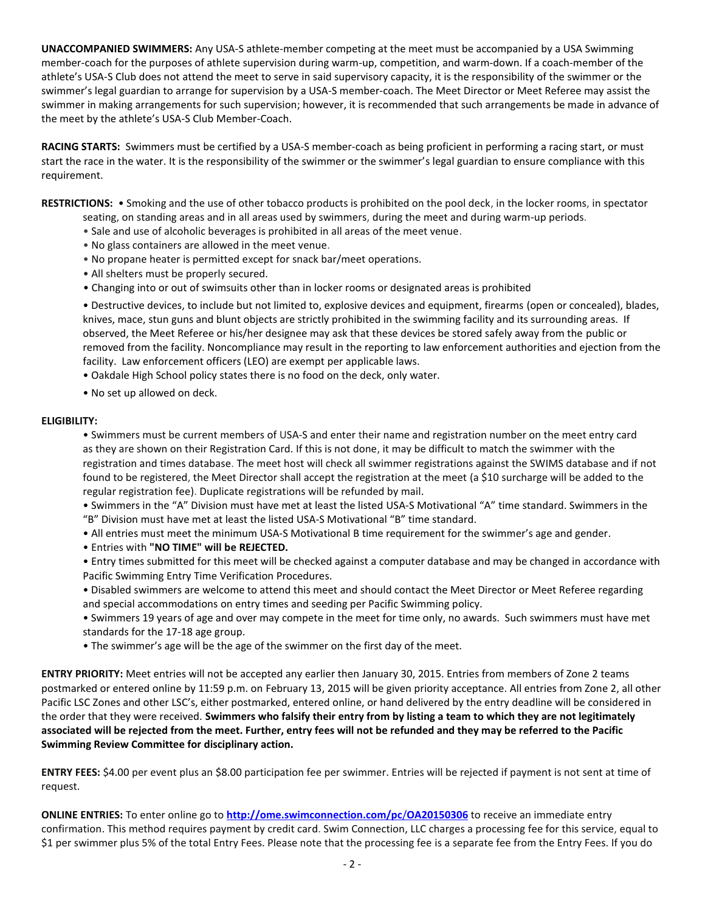**UNACCOMPANIED SWIMMERS:** Any USA-S athlete-member competing at the meet must be accompanied by a USA Swimming member-coach for the purposes of athlete supervision during warm-up, competition, and warm-down. If a coach-member of the athlete's USA-S Club does not attend the meet to serve in said supervisory capacity, it is the responsibility of the swimmer or the swimmer's legal guardian to arrange for supervision by a USA-S member-coach. The Meet Director or Meet Referee may assist the swimmer in making arrangements for such supervision; however, it is recommended that such arrangements be made in advance of the meet by the athlete's USA-S Club Member-Coach.

**RACING STARTS:** Swimmers must be certified by a USA-S member-coach as being proficient in performing a racing start, or must start the race in the water. It is the responsibility of the swimmer or the swimmer's legal guardian to ensure compliance with this requirement.

**RESTRICTIONS:** • Smoking and the use of other tobacco products is prohibited on the pool deck, in the locker rooms, in spectator seating, on standing areas and in all areas used by swimmers, during the meet and during warm-up periods.

- Sale and use of alcoholic beverages is prohibited in all areas of the meet venue.
- No glass containers are allowed in the meet venue.
- No propane heater is permitted except for snack bar/meet operations.
- All shelters must be properly secured.
- Changing into or out of swimsuits other than in locker rooms or designated areas is prohibited

• Destructive devices, to include but not limited to, explosive devices and equipment, firearms (open or concealed), blades, knives, mace, stun guns and blunt objects are strictly prohibited in the swimming facility and its surrounding areas. If observed, the Meet Referee or his/her designee may ask that these devices be stored safely away from the public or removed from the facility. Noncompliance may result in the reporting to law enforcement authorities and ejection from the facility. Law enforcement officers (LEO) are exempt per applicable laws.

• Oakdale High School policy states there is no food on the deck, only water.

• No set up allowed on deck.

### **ELIGIBILITY:**

• Swimmers must be current members of USA-S and enter their name and registration number on the meet entry card as they are shown on their Registration Card. If this is not done, it may be difficult to match the swimmer with the registration and times database. The meet host will check all swimmer registrations against the SWIMS database and if not found to be registered, the Meet Director shall accept the registration at the meet (a \$10 surcharge will be added to the regular registration fee). Duplicate registrations will be refunded by mail.

• Swimmers in the "A" Division must have met at least the listed USA-S Motivational "A" time standard. Swimmers in the "B" Division must have met at least the listed USA-S Motivational "B" time standard.

• All entries must meet the minimum USA-S Motivational B time requirement for the swimmer's age and gender.

• Entries with **"NO TIME" will be REJECTED.**

• Entry times submitted for this meet will be checked against a computer database and may be changed in accordance with Pacific Swimming Entry Time Verification Procedures.

• Disabled swimmers are welcome to attend this meet and should contact the Meet Director or Meet Referee regarding and special accommodations on entry times and seeding per Pacific Swimming policy.

- Swimmers 19 years of age and over may compete in the meet for time only, no awards. Such swimmers must have met standards for the 17-18 age group.
- The swimmer's age will be the age of the swimmer on the first day of the meet.

**ENTRY PRIORITY:** Meet entries will not be accepted any earlier then January 30, 2015. Entries from members of Zone 2 teams postmarked or entered online by 11:59 p.m. on February 13, 2015 will be given priority acceptance. All entries from Zone 2, all other Pacific LSC Zones and other LSC's, either postmarked, entered online, or hand delivered by the entry deadline will be considered in the order that they were received. **Swimmers who falsify their entry from by listing a team to which they are not legitimately associated will be rejected from the meet. Further, entry fees will not be refunded and they may be referred to the Pacific Swimming Review Committee for disciplinary action.**

**ENTRY FEES:** \$4.00 per event plus an \$8.00 participation fee per swimmer. Entries will be rejected if payment is not sent at time of request.

**ONLINE ENTRIES:** To enter online go to **[http://ome.swimconnection.com/pc](http://ome.swimconnection.com/pc/OA20150306)**/**OA20150306** to receive an immediate entry confirmation. This method requires payment by credit card. Swim Connection, LLC charges a processing fee for this service, equal to \$1 per swimmer plus 5% of the total Entry Fees. Please note that the processing fee is a separate fee from the Entry Fees. If you do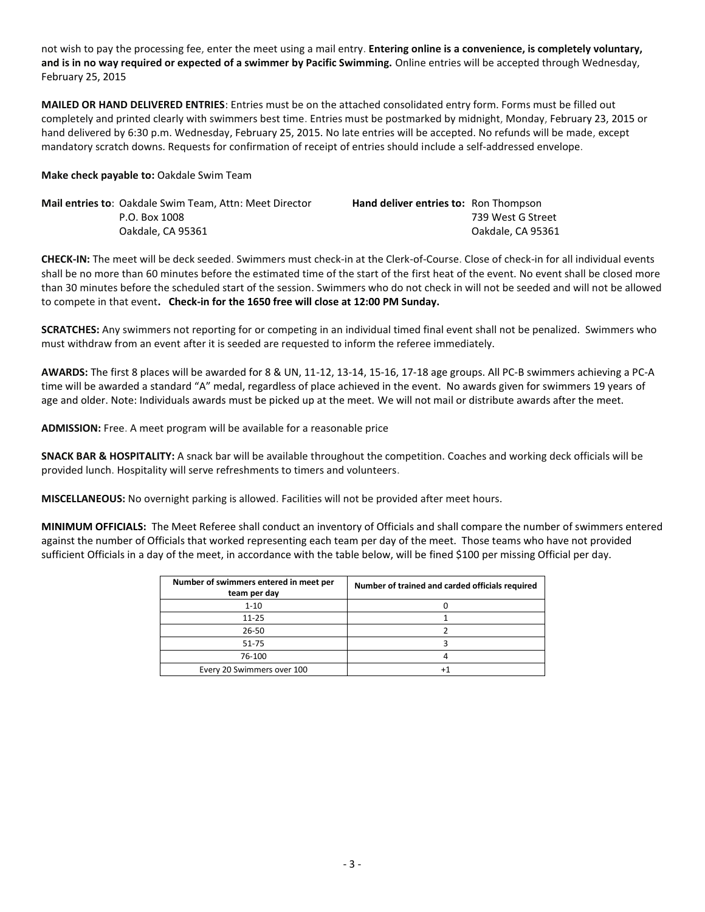not wish to pay the processing fee, enter the meet using a mail entry. **Entering online is a convenience, is completely voluntary, and is in no way required or expected of a swimmer by Pacific Swimming.** Online entries will be accepted through Wednesday, February 25, 2015

**MAILED OR HAND DELIVERED ENTRIES**: Entries must be on the attached consolidated entry form. Forms must be filled out completely and printed clearly with swimmers best time. Entries must be postmarked by midnight, Monday, February 23, 2015 or hand delivered by 6:30 p.m. Wednesday, February 25, 2015. No late entries will be accepted. No refunds will be made, except mandatory scratch downs. Requests for confirmation of receipt of entries should include a self-addressed envelope.

#### **Make check payable to:** Oakdale Swim Team

| <b>Mail entries to: Oakdale Swim Team, Attn: Meet Director</b> | <b>Hand deliver entries to:</b> Ron Thompson |                   |
|----------------------------------------------------------------|----------------------------------------------|-------------------|
| P.O. Box 1008                                                  |                                              | 739 West G Street |
| Oakdale. CA 95361                                              |                                              | Oakdale. CA 95361 |

**CHECK-IN:** The meet will be deck seeded. Swimmers must check-in at the Clerk-of-Course. Close of check-in for all individual events shall be no more than 60 minutes before the estimated time of the start of the first heat of the event. No event shall be closed more than 30 minutes before the scheduled start of the session. Swimmers who do not check in will not be seeded and will not be allowed to compete in that event**. Check-in for the 1650 free will close at 12:00 PM Sunday.**

**SCRATCHES:** Any swimmers not reporting for or competing in an individual timed final event shall not be penalized. Swimmers who must withdraw from an event after it is seeded are requested to inform the referee immediately.

**AWARDS:** The first 8 places will be awarded for 8 & UN, 11-12, 13-14, 15-16, 17-18 age groups. All PC-B swimmers achieving a PC-A time will be awarded a standard "A" medal, regardless of place achieved in the event. No awards given for swimmers 19 years of age and older. Note: Individuals awards must be picked up at the meet. We will not mail or distribute awards after the meet.

**ADMISSION:** Free. A meet program will be available for a reasonable price

**SNACK BAR & HOSPITALITY:** A snack bar will be available throughout the competition. Coaches and working deck officials will be provided lunch. Hospitality will serve refreshments to timers and volunteers.

**MISCELLANEOUS:** No overnight parking is allowed. Facilities will not be provided after meet hours.

**MINIMUM OFFICIALS:** The Meet Referee shall conduct an inventory of Officials and shall compare the number of swimmers entered against the number of Officials that worked representing each team per day of the meet. Those teams who have not provided sufficient Officials in a day of the meet, in accordance with the table below, will be fined \$100 per missing Official per day.

| Number of swimmers entered in meet per<br>team per day | Number of trained and carded officials required |
|--------------------------------------------------------|-------------------------------------------------|
| $1 - 10$                                               |                                                 |
| $11 - 25$                                              |                                                 |
| 26-50                                                  |                                                 |
| 51-75                                                  |                                                 |
| 76-100                                                 |                                                 |
| Every 20 Swimmers over 100                             |                                                 |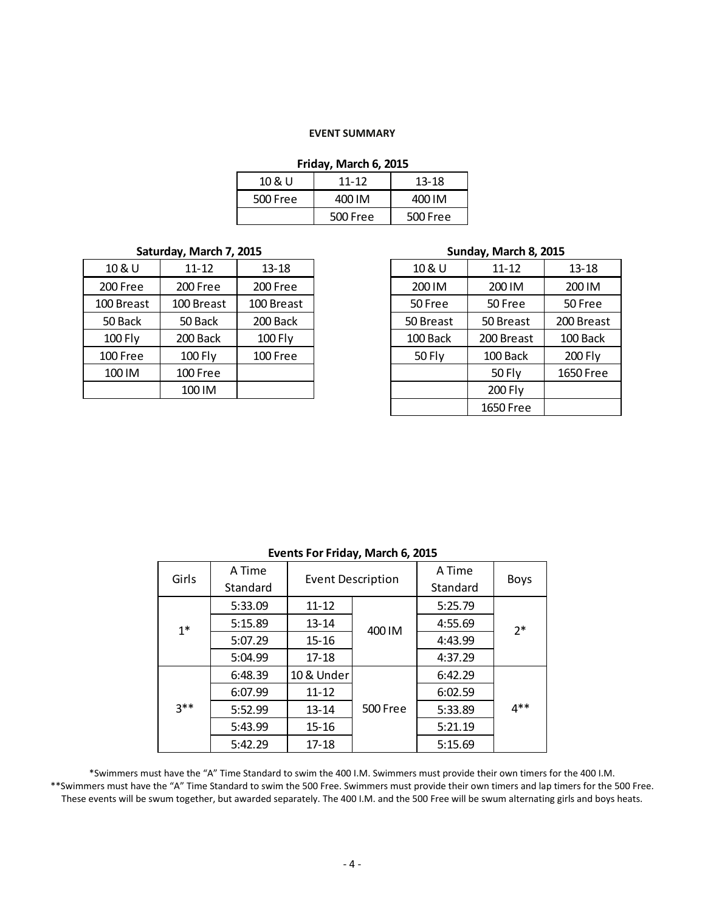#### **EVENT SUMMARY**

## **Friday, March 6, 2015**

| 10 & U   | $11 - 12$ | 13-18    |  |  |
|----------|-----------|----------|--|--|
| 500 Free | 400 IM    | 400 IM   |  |  |
|          | 500 Free  | 500 Free |  |  |

## **Saturday, March 7, 2015 Sunday, March 8, 2015**

| 10 & U     | $11 - 12$  | $13 - 18$  |
|------------|------------|------------|
| 200 Free   | 200 Free   | 200 Free   |
| 100 Breast | 100 Breast | 100 Breast |
| 50 Back    | 50 Back    | 200 Back   |
| 100 Fly    | 200 Back   | 100 Fly    |
| 100 Free   | 100 Fly    | 100 Free   |
| 100 IM     | 100 Free   |            |
|            | 100 IM     |            |

| 10 & U    | $11 - 12$  | $13 - 18$  | 10 & U        | $11 - 12$     | $13 - 18$  |
|-----------|------------|------------|---------------|---------------|------------|
| 200 Free  | 200 Free   | 200 Free   | 200 IM        | 200 IM        | 200 IM     |
| 00 Breast | 100 Breast | 100 Breast | 50 Free       | 50 Free       | 50 Free    |
| 50 Back   | 50 Back    | 200 Back   | 50 Breast     | 50 Breast     | 200 Breast |
| 100 Fly   | 200 Back   | 100 Fly    | 100 Back      | 200 Breast    | 100 Back   |
| LOO Free  | 100 Fly    | 100 Free   | <b>50 Fly</b> | 100 Back      | 200 Fly    |
| 100 IM    | 100 Free   |            |               | <b>50 Fly</b> | 1650 Free  |
|           | 100 IM     |            |               | 200 Fly       |            |
|           |            |            |               | 1650 Free     |            |

| . .    |                    |                          |          |                    |             |  |  |
|--------|--------------------|--------------------------|----------|--------------------|-------------|--|--|
| Girls  | A Time<br>Standard | <b>Event Description</b> |          | A Time<br>Standard | <b>Boys</b> |  |  |
|        | 5:33.09            | $11 - 12$                |          | 5:25.79            |             |  |  |
| $1^*$  | 5:15.89            | $13 - 14$                | 400 IM   | 4:55.69            | $2*$        |  |  |
|        | 5:07.29            | $15 - 16$                |          | 4:43.99            |             |  |  |
|        | 5:04.99            | $17 - 18$                |          | 4:37.29            |             |  |  |
|        | 6:48.39            | 10 & Under               |          | 6:42.29            |             |  |  |
|        | 6:07.99            | $11 - 12$                |          | 6:02.59            |             |  |  |
| $3***$ | 5:52.99            | $13 - 14$                | 500 Free |                    | 4**         |  |  |
|        | 5:43.99            | $15 - 16$                |          | 5:21.19            |             |  |  |
|        | 5:42.29            | $17 - 18$                |          | 5:15.69            |             |  |  |

# **Events For Friday, March 6, 2015**

\*Swimmers must have the "A" Time Standard to swim the 400 I.M. Swimmers must provide their own timers for the 400 I.M. \*\*Swimmers must have the "A" Time Standard to swim the 500 Free. Swimmers must provide their own timers and lap timers for the 500 Free. These events will be swum together, but awarded separately. The 400 I.M. and the 500 Free will be swum alternating girls and boys heats.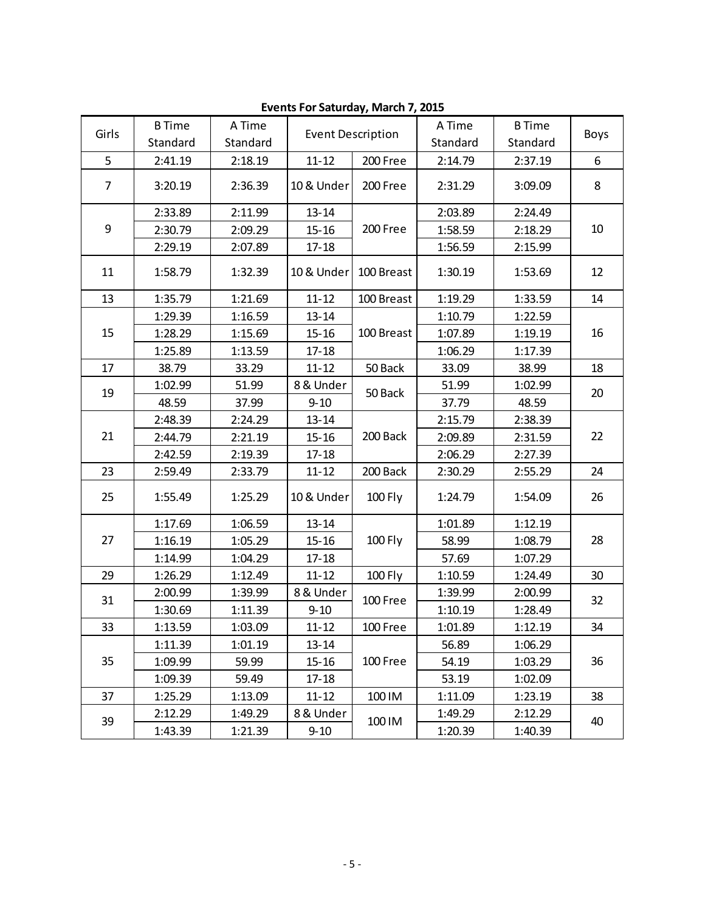|                | <b>B</b> Time | A Time   | <b>Event Description</b> |            | A Time   | <b>B</b> Time |      |  |
|----------------|---------------|----------|--------------------------|------------|----------|---------------|------|--|
| Girls          | Standard      | Standard |                          |            | Standard | Standard      | Boys |  |
| 5              | 2:41.19       | 2:18.19  | $11 - 12$                | 200 Free   | 2:14.79  | 2:37.19       | 6    |  |
| $\overline{7}$ | 3:20.19       | 2:36.39  | 10 & Under               | 200 Free   | 2:31.29  | 3:09.09       | 8    |  |
|                | 2:33.89       | 2:11.99  | $13 - 14$                |            | 2:03.89  | 2:24.49       |      |  |
| 9              | 2:30.79       | 2:09.29  | $15 - 16$                | 200 Free   | 1:58.59  | 2:18.29       | 10   |  |
|                | 2:29.19       | 2:07.89  | $17 - 18$                |            | 1:56.59  | 2:15.99       |      |  |
| 11             | 1:58.79       | 1:32.39  | 10 & Under               | 100 Breast | 1:30.19  | 1:53.69       | 12   |  |
| 13             | 1:35.79       | 1:21.69  | $11 - 12$                | 100 Breast | 1:19.29  | 1:33.59       | 14   |  |
|                | 1:29.39       | 1:16.59  | $13 - 14$                |            | 1:10.79  | 1:22.59       |      |  |
| 15             | 1:28.29       | 1:15.69  | $15 - 16$                | 100 Breast | 1:07.89  | 1:19.19       | 16   |  |
|                | 1:25.89       | 1:13.59  | $17 - 18$                |            | 1:06.29  | 1:17.39       |      |  |
| 17             | 38.79         | 33.29    | $11 - 12$                | 50 Back    | 33.09    | 38.99         | 18   |  |
| 19             | 1:02.99       | 51.99    | 8 & Under                |            | 51.99    | 1:02.99       |      |  |
|                | 48.59         | 37.99    | $9 - 10$                 | 50 Back    | 37.79    | 48.59         | 20   |  |
|                | 2:48.39       | 2:24.29  | $13 - 14$                |            | 2:15.79  | 2:38.39       | 22   |  |
| 21             | 2:44.79       | 2:21.19  | $15 - 16$                | 200 Back   | 2:09.89  | 2:31.59       |      |  |
|                | 2:42.59       | 2:19.39  | $17 - 18$                |            | 2:06.29  | 2:27.39       |      |  |
| 23             | 2:59.49       | 2:33.79  | $11 - 12$                | 200 Back   | 2:30.29  | 2:55.29       | 24   |  |
| 25             | 1:55.49       | 1:25.29  | 10 & Under               | 100 Fly    | 1:24.79  | 1:54.09       | 26   |  |
|                | 1:17.69       | 1:06.59  | $13 - 14$                |            | 1:01.89  | 1:12.19       |      |  |
| 27             | 1:16.19       | 1:05.29  | $15 - 16$                | 100 Fly    | 58.99    | 1:08.79       | 28   |  |
|                | 1:14.99       | 1:04.29  | $17 - 18$                |            | 57.69    | 1:07.29       |      |  |
| 29             | 1:26.29       | 1:12.49  | $11 - 12$                | 100 Fly    | 1:10.59  | 1:24.49       | 30   |  |
| 31             | 2:00.99       | 1:39.99  | 8 & Under                |            | 1:39.99  | 2:00.99       | 32   |  |
|                | 1:30.69       | 1:11.39  | $9 - 10$                 | 100 Free   | 1:10.19  | 1:28.49       |      |  |
| 33             | 1:13.59       | 1:03.09  | $11 - 12$                | 100 Free   | 1:01.89  | 1:12.19       | 34   |  |
|                | 1:11.39       | 1:01.19  | $13 - 14$                |            | 56.89    | 1:06.29       |      |  |
| 35             | 1:09.99       | 59.99    | $15 - 16$                | 100 Free   | 54.19    | 1:03.29       | 36   |  |
|                | 1:09.39       | 59.49    | $17 - 18$                |            | 53.19    | 1:02.09       |      |  |
| 37             | 1:25.29       | 1:13.09  | $11 - 12$                | 100 IM     | 1:11.09  | 1:23.19       | 38   |  |
|                | 2:12.29       | 1:49.29  | 8 & Under                |            | 1:49.29  | 2:12.29       |      |  |
| 39             | 1:43.39       | 1:21.39  | $9 - 10$                 | 100 IM     | 1:20.39  | 1:40.39       | 40   |  |

**Events For Saturday, March 7, 2015**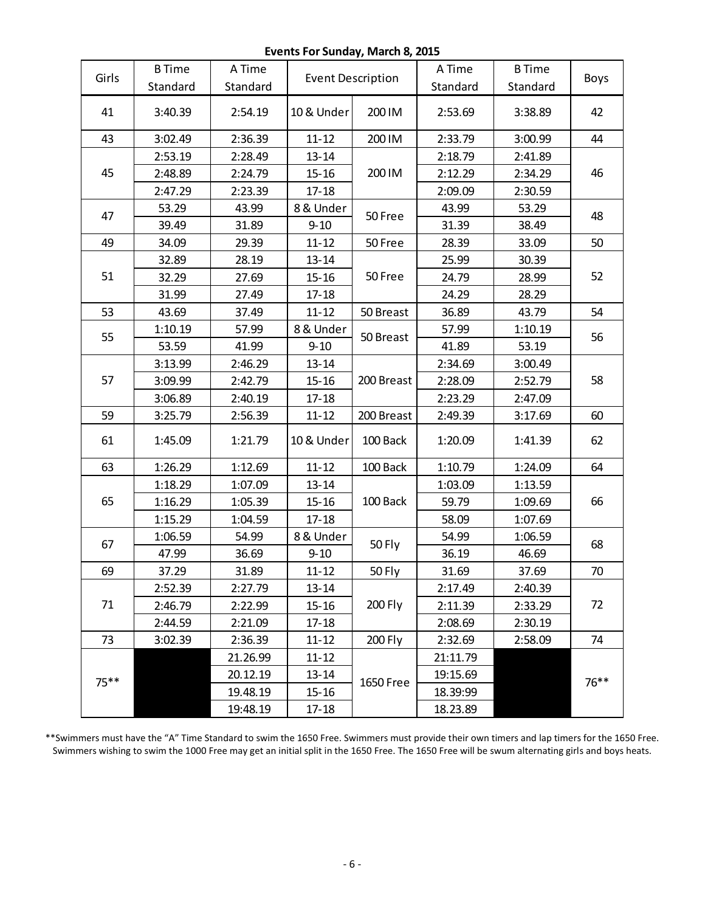**Events For Sunday, March 8, 2015**

|       | <b>B</b> Time | A Time   | <b>Event Description</b> |            | A Time   | <b>B</b> Time |      |  |
|-------|---------------|----------|--------------------------|------------|----------|---------------|------|--|
| Girls | Standard      | Standard |                          |            | Standard | Standard      | Boys |  |
| 41    | 3:40.39       | 2:54.19  | 10 & Under               | 200 IM     | 2:53.69  | 3:38.89       | 42   |  |
| 43    | 3:02.49       | 2:36.39  | $11 - 12$                | 200 IM     | 2:33.79  | 3:00.99       | 44   |  |
|       | 2:53.19       | 2:28.49  | $13 - 14$                |            | 2:18.79  | 2:41.89       |      |  |
| 45    | 2:48.89       | 2:24.79  | $15 - 16$                | 200 IM     | 2:12.29  | 2:34.29       | 46   |  |
|       | 2:47.29       | 2:23.39  | $17 - 18$                |            | 2:09.09  | 2:30.59       |      |  |
| 47    | 53.29         | 43.99    | 8 & Under                |            | 43.99    | 53.29         |      |  |
|       | 39.49         | 31.89    | $9 - 10$                 | 50 Free    | 31.39    | 38.49         | 48   |  |
| 49    | 34.09         | 29.39    | $11 - 12$                | 50 Free    | 28.39    | 33.09         | 50   |  |
|       | 32.89         | 28.19    | $13 - 14$                |            | 25.99    | 30.39         |      |  |
| 51    | 32.29         | 27.69    | $15 - 16$                | 50 Free    | 24.79    | 28.99         | 52   |  |
|       | 31.99         | 27.49    | $17 - 18$                |            | 24.29    | 28.29         |      |  |
| 53    | 43.69         | 37.49    | $11 - 12$                | 50 Breast  | 36.89    | 43.79         | 54   |  |
| 55    | 1:10.19       | 57.99    | 8 & Under                | 50 Breast  | 57.99    | 1:10.19       |      |  |
|       | 53.59         | 41.99    | $9 - 10$                 |            | 41.89    | 53.19         | 56   |  |
|       | 3:13.99       | 2:46.29  | $13 - 14$                |            | 2:34.69  | 3:00.49       | 58   |  |
| 57    | 3:09.99       | 2:42.79  | $15 - 16$                | 200 Breast | 2:28.09  | 2:52.79       |      |  |
|       | 3:06.89       | 2:40.19  | $17 - 18$                |            | 2:23.29  | 2:47.09       |      |  |
| 59    | 3:25.79       | 2:56.39  | $11 - 12$                | 200 Breast | 2:49.39  | 3:17.69       | 60   |  |
| 61    | 1:45.09       | 1:21.79  | 10 & Under               | 100 Back   | 1:20.09  | 1:41.39       | 62   |  |
| 63    | 1:26.29       | 1:12.69  | $11 - 12$                | 100 Back   | 1:10.79  | 1:24.09       | 64   |  |
|       | 1:18.29       | 1:07.09  | $13 - 14$                |            | 1:03.09  | 1:13.59       |      |  |
| 65    | 1:16.29       | 1:05.39  | $15 - 16$                | 100 Back   | 59.79    | 1:09.69       | 66   |  |
|       | 1:15.29       | 1:04.59  | $17 - 18$                |            | 58.09    | 1:07.69       |      |  |
| 67    | 1:06.59       | 54.99    | 8 & Under                | 50 Fly     | 54.99    | 1:06.59       | 68   |  |
|       | 47.99         | 36.69    | $9 - 10$                 |            | 36.19    | 46.69         |      |  |
| 69    | 37.29         | 31.89    | $11 - 12$                | 50 Fly     | 31.69    | 37.69         | 70   |  |
|       | 2:52.39       | 2:27.79  | $13 - 14$                |            | 2:17.49  | 2:40.39       |      |  |
| 71    | 2:46.79       | 2:22.99  | $15 - 16$                | 200 Fly    | 2:11.39  | 2:33.29       | 72   |  |
|       | 2:44.59       | 2:21.09  | $17 - 18$                |            | 2:08.69  | 2:30.19       |      |  |
| 73    | 3:02.39       | 2:36.39  | $11 - 12$                | 200 Fly    | 2:32.69  | 2:58.09       | 74   |  |
|       |               | 21.26.99 | $11 - 12$                |            | 21:11.79 |               |      |  |
| 75**  |               | 20.12.19 | $13 - 14$                |            | 19:15.69 |               |      |  |
|       |               | 19.48.19 | $15 - 16$                | 1650 Free  | 18.39:99 |               | 76** |  |
|       |               | 19:48.19 | 17-18                    |            | 18.23.89 |               |      |  |

\*\*Swimmers must have the "A" Time Standard to swim the 1650 Free. Swimmers must provide their own timers and lap timers for the 1650 Free. Swimmers wishing to swim the 1000 Free may get an initial split in the 1650 Free. The 1650 Free will be swum alternating girls and boys heats.